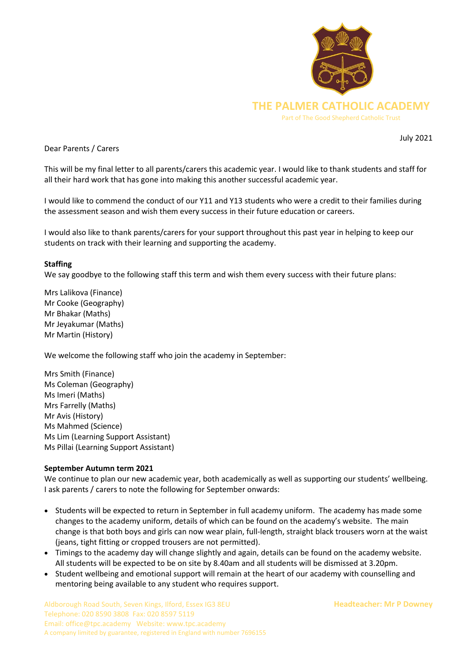

Dear Parents / Carers

July 2021

This will be my final letter to all parents/carers this academic year. I would like to thank students and staff for all their hard work that has gone into making this another successful academic year.

I would like to commend the conduct of our Y11 and Y13 students who were a credit to their families during the assessment season and wish them every success in their future education or careers.

I would also like to thank parents/carers for your support throughout this past year in helping to keep our students on track with their learning and supporting the academy.

## **Staffing**

We say goodbye to the following staff this term and wish them every success with their future plans:

Mrs Lalikova (Finance) Mr Cooke (Geography) Mr Bhakar (Maths) Mr Jeyakumar (Maths) Mr Martin (History)

We welcome the following staff who join the academy in September:

Mrs Smith (Finance) Ms Coleman (Geography) Ms Imeri (Maths) Mrs Farrelly (Maths) Mr Avis (History) Ms Mahmed (Science) Ms Lim (Learning Support Assistant) Ms Pillai (Learning Support Assistant)

## **September Autumn term 2021**

We continue to plan our new academic year, both academically as well as supporting our students' wellbeing. I ask parents / carers to note the following for September onwards:

- Students will be expected to return in September in full academy uniform. The academy has made some changes to the academy uniform, details of which can be found on the academy's website. The main change is that both boys and girls can now wear plain, full-length, straight black trousers worn at the waist (jeans, tight fitting or cropped trousers are not permitted).
- Timings to the academy day will change slightly and again, details can be found on the academy website. All students will be expected to be on site by 8.40am and all students will be dismissed at 3.20pm.
- Student wellbeing and emotional support will remain at the heart of our academy with counselling and mentoring being available to any student who requires support.